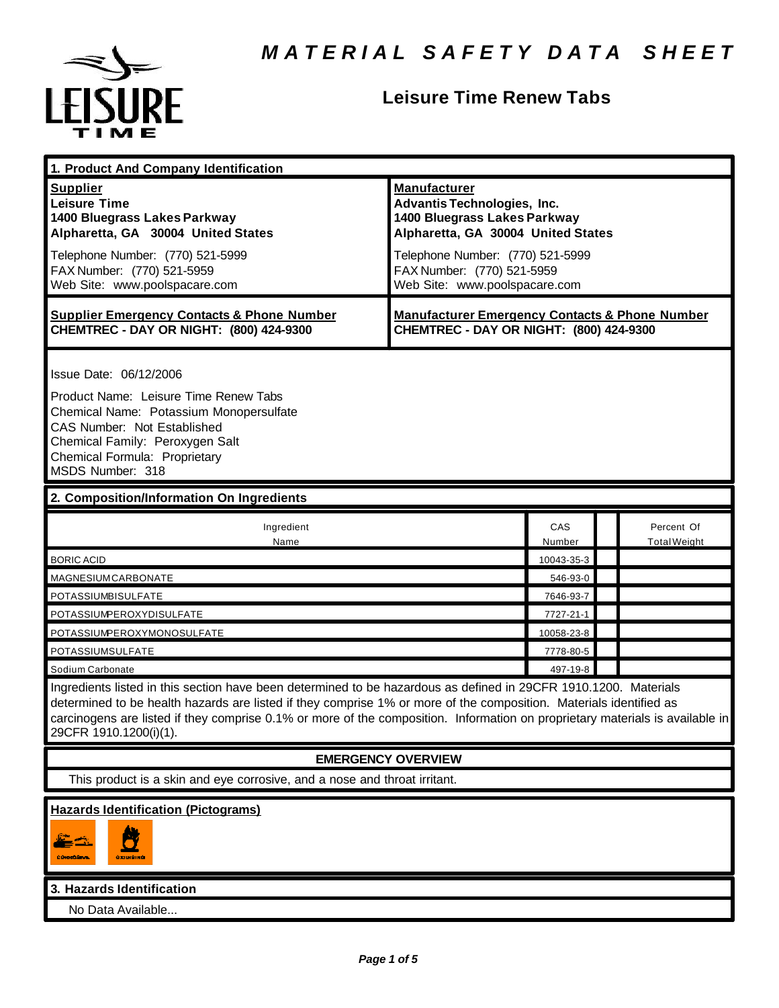

# **Leisure Time Renew Tabs**

| 1. Product And Company Identification                                                                                                                                                                                                                                                                                                                                                             |                                                                                                                                                                                                                                    |               |                                   |
|---------------------------------------------------------------------------------------------------------------------------------------------------------------------------------------------------------------------------------------------------------------------------------------------------------------------------------------------------------------------------------------------------|------------------------------------------------------------------------------------------------------------------------------------------------------------------------------------------------------------------------------------|---------------|-----------------------------------|
| <b>Supplier</b><br><b>Leisure Time</b><br>1400 Bluegrass Lakes Parkway<br>Alpharetta, GA 30004 United States<br>Telephone Number: (770) 521-5999<br>FAX Number: (770) 521-5959<br>Web Site: www.poolspacare.com                                                                                                                                                                                   | <b>Manufacturer</b><br><b>Advantis Technologies, Inc.</b><br>1400 Bluegrass Lakes Parkway<br>Alpharetta, GA 30004 United States<br>Telephone Number: (770) 521-5999<br>FAX Number: (770) 521-5959<br>Web Site: www.poolspacare.com |               |                                   |
| <b>Supplier Emergency Contacts &amp; Phone Number</b><br>CHEMTREC - DAY OR NIGHT: (800) 424-9300                                                                                                                                                                                                                                                                                                  | <b>Manufacturer Emergency Contacts &amp; Phone Number</b><br>CHEMTREC - DAY OR NIGHT: (800) 424-9300                                                                                                                               |               |                                   |
| Issue Date: 06/12/2006<br>Product Name: Leisure Time Renew Tabs<br>Chemical Name: Potassium Monopersulfate<br>CAS Number: Not Established<br>Chemical Family: Peroxygen Salt<br>Chemical Formula: Proprietary<br>MSDS Number: 318                                                                                                                                                                 |                                                                                                                                                                                                                                    |               |                                   |
| 2. Composition/Information On Ingredients                                                                                                                                                                                                                                                                                                                                                         |                                                                                                                                                                                                                                    |               |                                   |
| Ingredient<br>Name                                                                                                                                                                                                                                                                                                                                                                                |                                                                                                                                                                                                                                    | CAS<br>Number | Percent Of<br><b>Total Weight</b> |
| <b>BORIC ACID</b>                                                                                                                                                                                                                                                                                                                                                                                 |                                                                                                                                                                                                                                    | 10043-35-3    |                                   |
| MAGNESIUMCARBONATE                                                                                                                                                                                                                                                                                                                                                                                |                                                                                                                                                                                                                                    | 546-93-0      |                                   |
| POTASSIUMBISULFATE                                                                                                                                                                                                                                                                                                                                                                                |                                                                                                                                                                                                                                    | 7646-93-7     |                                   |
| POTASSIUMPEROXYDISULFATE                                                                                                                                                                                                                                                                                                                                                                          |                                                                                                                                                                                                                                    | 7727-21-1     |                                   |
| POTASSIUMPEROXYMONOSULFATE                                                                                                                                                                                                                                                                                                                                                                        |                                                                                                                                                                                                                                    | 10058-23-8    |                                   |
| POTASSIUMSULFATE                                                                                                                                                                                                                                                                                                                                                                                  |                                                                                                                                                                                                                                    | 7778-80-5     |                                   |
| Sodium Carbonate                                                                                                                                                                                                                                                                                                                                                                                  |                                                                                                                                                                                                                                    | 497-19-8      |                                   |
| Ingredients listed in this section have been determined to be hazardous as defined in 29CFR 1910.1200. Materials<br>determined to be health hazards are listed if they comprise 1% or more of the composition. Materials identified as<br>carcinogens are listed if they comprise 0.1% or more of the composition. Information on proprietary materials is available in<br>29CFR 1910.1200(i)(1). |                                                                                                                                                                                                                                    |               |                                   |
|                                                                                                                                                                                                                                                                                                                                                                                                   | <b>EMERGENCY OVERVIEW</b>                                                                                                                                                                                                          |               |                                   |
| This product is a skin and eye corrosive, and a nose and throat irritant.                                                                                                                                                                                                                                                                                                                         |                                                                                                                                                                                                                                    |               |                                   |
| <b>Hazards Identification (Pictograms)</b><br>Ŋ<br>$\equiv$ $\frac{1}{2}$<br>CONTOUNE.<br>ахшяіна                                                                                                                                                                                                                                                                                                 |                                                                                                                                                                                                                                    |               |                                   |
| 3. Hazards Identification                                                                                                                                                                                                                                                                                                                                                                         |                                                                                                                                                                                                                                    |               |                                   |
| No Data Available                                                                                                                                                                                                                                                                                                                                                                                 |                                                                                                                                                                                                                                    |               |                                   |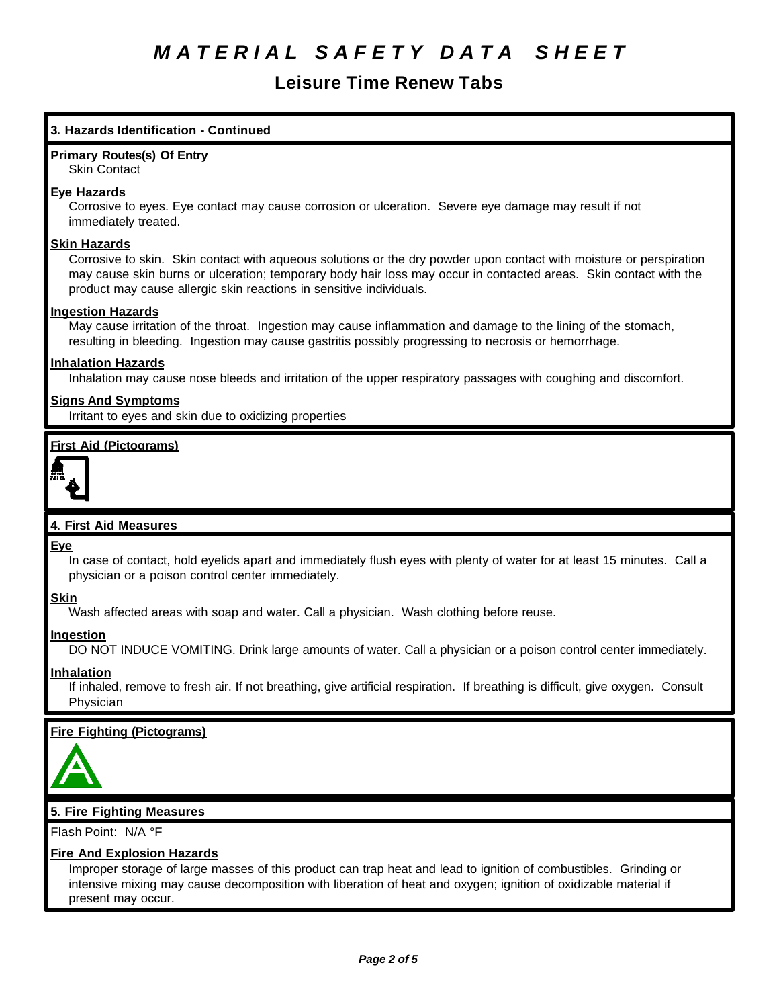# **Leisure Time Renew Tabs**

## **3. Hazards Identification - Continued**

#### **Primary Routes(s) Of Entry**

Skin Contact

#### **Eye Hazards**

Corrosive to eyes. Eye contact may cause corrosion or ulceration. Severe eye damage may result if not immediately treated.

#### **Skin Hazards**

Corrosive to skin. Skin contact with aqueous solutions or the dry powder upon contact with moisture or perspiration may cause skin burns or ulceration; temporary body hair loss may occur in contacted areas. Skin contact with the product may cause allergic skin reactions in sensitive individuals.

#### **Ingestion Hazards**

May cause irritation of the throat. Ingestion may cause inflammation and damage to the lining of the stomach, resulting in bleeding. Ingestion may cause gastritis possibly progressing to necrosis or hemorrhage.

## **Inhalation Hazards**

Inhalation may cause nose bleeds and irritation of the upper respiratory passages with coughing and discomfort.

#### **Signs And Symptoms**

Irritant to eyes and skin due to oxidizing properties

### **First Aid (Pictograms)**



## **4. First Aid Measures**

### **Eye**

In case of contact, hold eyelids apart and immediately flush eyes with plenty of water for at least 15 minutes. Call a physician or a poison control center immediately.

**Skin**

Wash affected areas with soap and water. Call a physician. Wash clothing before reuse.

#### **Ingestion**

DO NOT INDUCE VOMITING. Drink large amounts of water. Call a physician or a poison control center immediately.

#### **Inhalation**

If inhaled, remove to fresh air. If not breathing, give artificial respiration. If breathing is difficult, give oxygen. Consult Physician

## **Fire Fighting (Pictograms)**



### **5. Fire Fighting Measures**

Flash Point: N/A °F

#### **Fire And Explosion Hazards**

Improper storage of large masses of this product can trap heat and lead to ignition of combustibles. Grinding or intensive mixing may cause decomposition with liberation of heat and oxygen; ignition of oxidizable material if present may occur.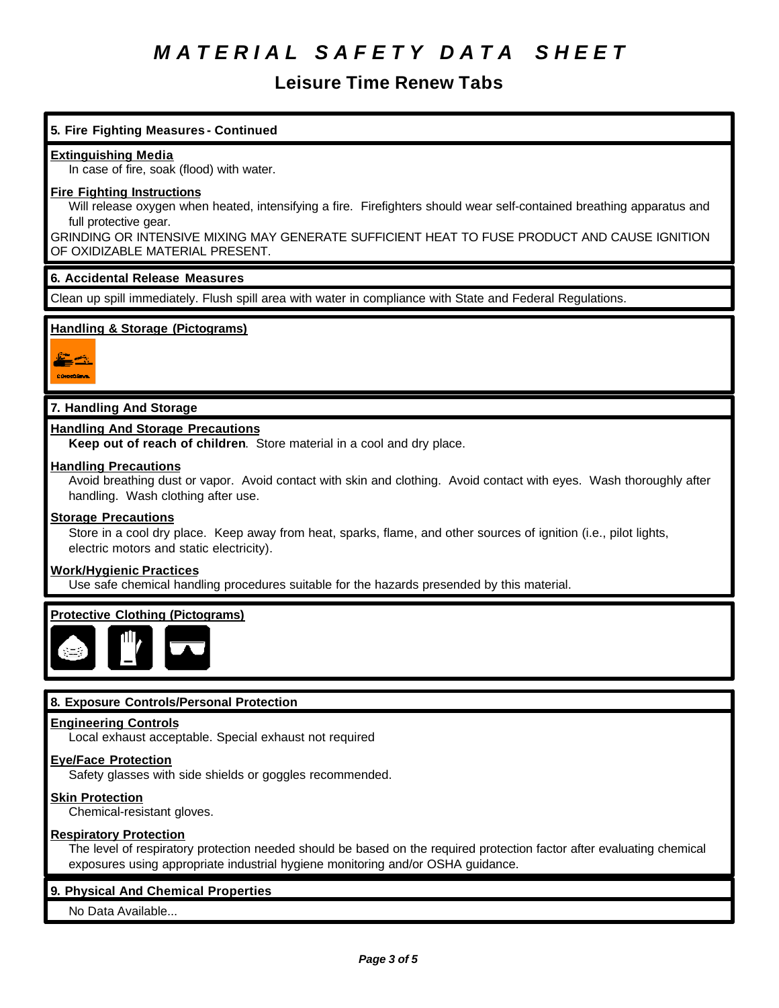# **Leisure Time Renew Tabs**

# **5. Fire Fighting Measures - Continued Extinguishing Media** In case of fire, soak (flood) with water. **Fire Fighting Instructions** Will release oxygen when heated, intensifying a fire. Firefighters should wear self-contained breathing apparatus and full protective gear. GRINDING OR INTENSIVE MIXING MAY GENERATE SUFFICIENT HEAT TO FUSE PRODUCT AND CAUSE IGNITION OF OXIDIZABLE MATERIAL PRESENT. **6. Accidental Release Measures** Clean up spill immediately. Flush spill area with water in compliance with State and Federal Regulations. **Handling & Storage (Pictograms) 7. Handling And Storage Handling And Storage Precautions Keep out of reach of children**. Store material in a cool and dry place. **Handling Precautions** Avoid breathing dust or vapor. Avoid contact with skin and clothing. Avoid contact with eyes. Wash thoroughly after handling. Wash clothing after use. **Storage Precautions** Store in a cool dry place. Keep away from heat, sparks, flame, and other sources of ignition (i.e., pilot lights, electric motors and static electricity). **Work/Hygienic Practices** Use safe chemical handling procedures suitable for the hazards presended by this material. **Protective Clothing (Pictograms) 8. Exposure Controls/Personal Protection Engineering Controls** Local exhaust acceptable. Special exhaust not required

### **Eye/Face Protection**

Safety glasses with side shields or goggles recommended.

### **Skin Protection**

Chemical-resistant gloves.

#### **Respiratory Protection**

The level of respiratory protection needed should be based on the required protection factor after evaluating chemical exposures using appropriate industrial hygiene monitoring and/or OSHA guidance.

#### **9. Physical And Chemical Properties**

No Data Available...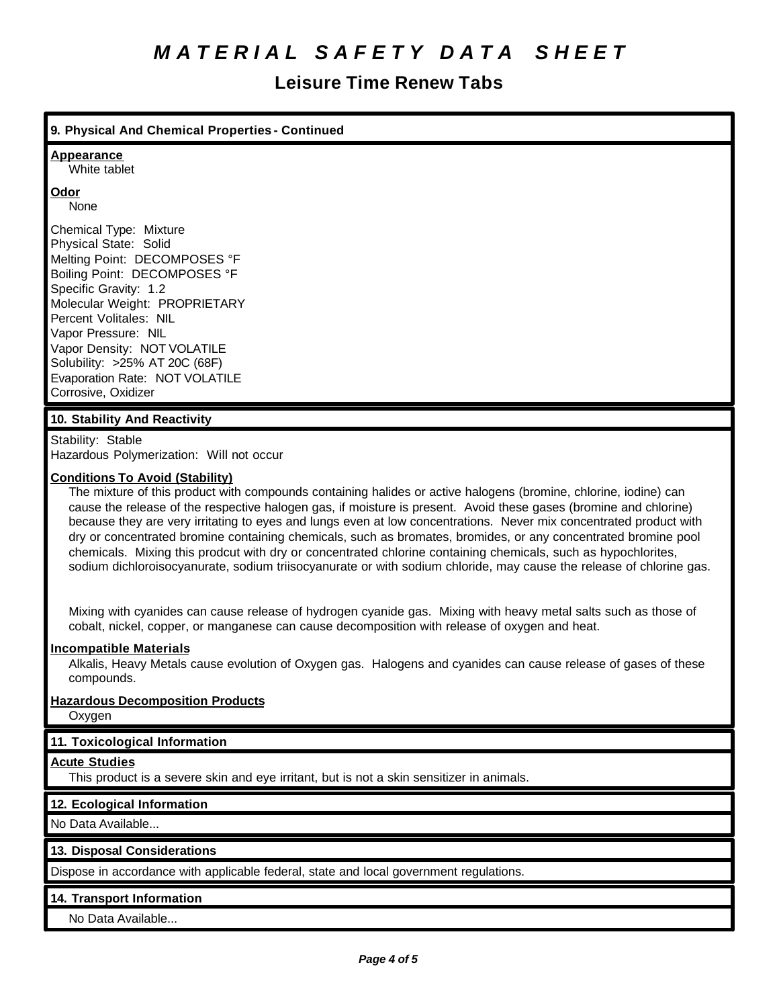# **Leisure Time Renew Tabs**

## **9. Physical And Chemical Properties - Continued**

#### **Appearance**

White tablet

# **Odor**

None

Chemical Type: Mixture Physical State: Solid Melting Point: DECOMPOSES °F Boiling Point: DECOMPOSES °F Specific Gravity: 1.2 Molecular Weight: PROPRIETARY Percent Volitales: NIL Vapor Pressure: NIL Vapor Density: NOT VOLATILE Solubility: >25% AT 20C (68F) Evaporation Rate: NOT VOLATILE Corrosive, Oxidizer

## **10. Stability And Reactivity**

Stability: Stable Hazardous Polymerization: Will not occur

#### **Conditions To Avoid (Stability)**

The mixture of this product with compounds containing halides or active halogens (bromine, chlorine, iodine) can cause the release of the respective halogen gas, if moisture is present. Avoid these gases (bromine and chlorine) because they are very irritating to eyes and lungs even at low concentrations. Never mix concentrated product with dry or concentrated bromine containing chemicals, such as bromates, bromides, or any concentrated bromine pool chemicals. Mixing this prodcut with dry or concentrated chlorine containing chemicals, such as hypochlorites, sodium dichloroisocyanurate, sodium triisocyanurate or with sodium chloride, may cause the release of chlorine gas.

Mixing with cyanides can cause release of hydrogen cyanide gas. Mixing with heavy metal salts such as those of cobalt, nickel, copper, or manganese can cause decomposition with release of oxygen and heat.

### **Incompatible Materials**

Alkalis, Heavy Metals cause evolution of Oxygen gas. Halogens and cyanides can cause release of gases of these compounds.

### **Hazardous Decomposition Products**

Oxygen

### **11. Toxicological Information**

#### **Acute Studies**

This product is a severe skin and eye irritant, but is not a skin sensitizer in animals.

### **12. Ecological Information**

No Data Available...

### **13. Disposal Considerations**

Dispose in accordance with applicable federal, state and local government regulations.

### **14. Transport Information**

No Data Available...